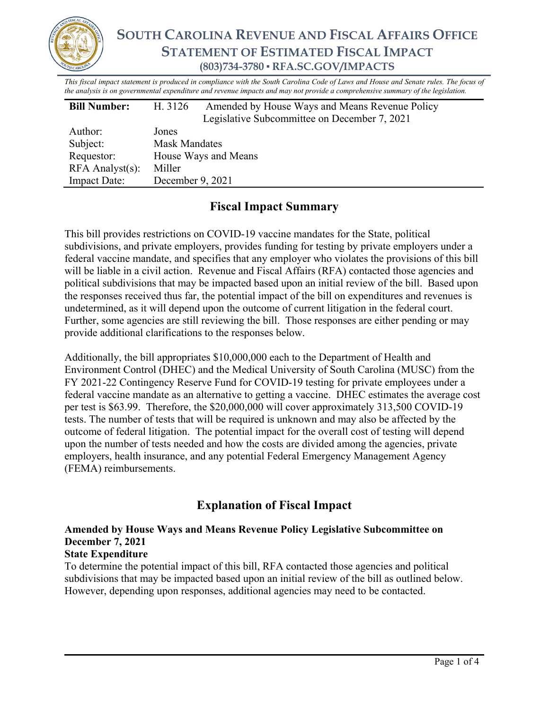

*This fiscal impact statement is produced in compliance with the South Carolina Code of Laws and House and Senate rules. The focus of the analysis is on governmental expenditure and revenue impacts and may not provide a comprehensive summary of the legislation.*

| <b>Bill Number:</b>   | H. 3126              | Amended by House Ways and Means Revenue Policy<br>Legislative Subcommittee on December 7, 2021 |  |  |
|-----------------------|----------------------|------------------------------------------------------------------------------------------------|--|--|
| Author:               | Jones                |                                                                                                |  |  |
| Subject:              | <b>Mask Mandates</b> |                                                                                                |  |  |
| Requestor:            | House Ways and Means |                                                                                                |  |  |
| $RFA$ Analyst $(s)$ : | Miller               |                                                                                                |  |  |
| Impact Date:          | December 9, 2021     |                                                                                                |  |  |

### **Fiscal Impact Summary**

This bill provides restrictions on COVID-19 vaccine mandates for the State, political subdivisions, and private employers, provides funding for testing by private employers under a federal vaccine mandate, and specifies that any employer who violates the provisions of this bill will be liable in a civil action. Revenue and Fiscal Affairs (RFA) contacted those agencies and political subdivisions that may be impacted based upon an initial review of the bill. Based upon the responses received thus far, the potential impact of the bill on expenditures and revenues is undetermined, as it will depend upon the outcome of current litigation in the federal court. Further, some agencies are still reviewing the bill. Those responses are either pending or may provide additional clarifications to the responses below.

Additionally, the bill appropriates \$10,000,000 each to the Department of Health and Environment Control (DHEC) and the Medical University of South Carolina (MUSC) from the FY 2021-22 Contingency Reserve Fund for COVID-19 testing for private employees under a federal vaccine mandate as an alternative to getting a vaccine. DHEC estimates the average cost per test is \$63.99. Therefore, the \$20,000,000 will cover approximately 313,500 COVID-19 tests. The number of tests that will be required is unknown and may also be affected by the outcome of federal litigation. The potential impact for the overall cost of testing will depend upon the number of tests needed and how the costs are divided among the agencies, private employers, health insurance, and any potential Federal Emergency Management Agency (FEMA) reimbursements.

# **Explanation of Fiscal Impact**

# **Amended by House Ways and Means Revenue Policy Legislative Subcommittee on December 7, 2021**

### **State Expenditure**

To determine the potential impact of this bill, RFA contacted those agencies and political subdivisions that may be impacted based upon an initial review of the bill as outlined below. However, depending upon responses, additional agencies may need to be contacted.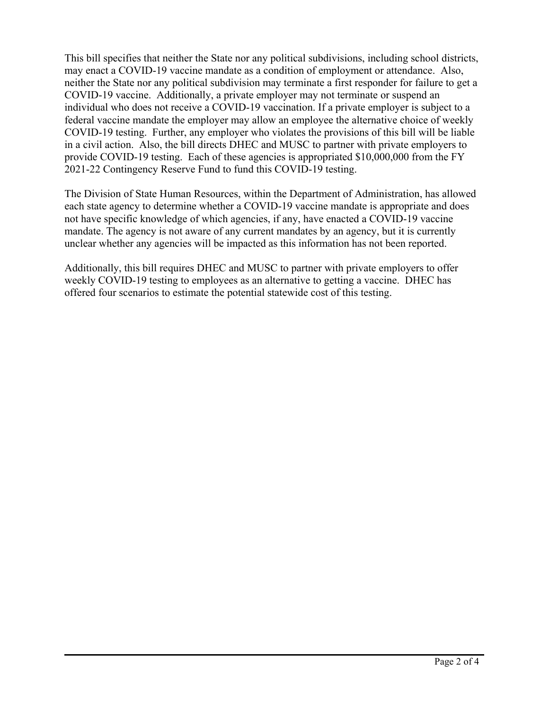This bill specifies that neither the State nor any political subdivisions, including school districts, may enact a COVID-19 vaccine mandate as a condition of employment or attendance. Also, neither the State nor any political subdivision may terminate a first responder for failure to get a COVID-19 vaccine. Additionally, a private employer may not terminate or suspend an individual who does not receive a COVID-19 vaccination. If a private employer is subject to a federal vaccine mandate the employer may allow an employee the alternative choice of weekly COVID-19 testing. Further, any employer who violates the provisions of this bill will be liable in a civil action. Also, the bill directs DHEC and MUSC to partner with private employers to provide COVID-19 testing. Each of these agencies is appropriated \$10,000,000 from the FY 2021-22 Contingency Reserve Fund to fund this COVID-19 testing.

The Division of State Human Resources, within the Department of Administration, has allowed each state agency to determine whether a COVID-19 vaccine mandate is appropriate and does not have specific knowledge of which agencies, if any, have enacted a COVID-19 vaccine mandate. The agency is not aware of any current mandates by an agency, but it is currently unclear whether any agencies will be impacted as this information has not been reported.

Additionally, this bill requires DHEC and MUSC to partner with private employers to offer weekly COVID-19 testing to employees as an alternative to getting a vaccine. DHEC has offered four scenarios to estimate the potential statewide cost of this testing.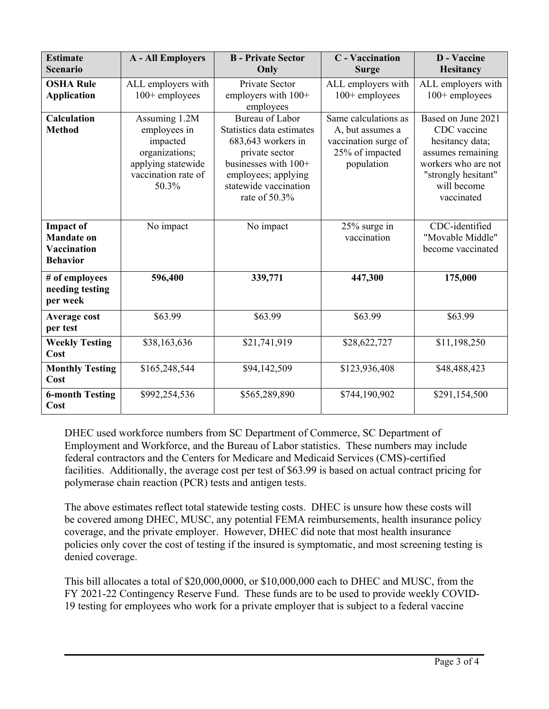| <b>Estimate</b><br><b>Scenario</b>                                      | <b>A</b> - All Employers                                                                                          | <b>B</b> - Private Sector<br>Only                                                                                                                                               | <b>C</b> - Vaccination<br><b>Surge</b>                                                            | <b>D</b> - Vaccine<br><b>Hesitancy</b>                                                                                                               |
|-------------------------------------------------------------------------|-------------------------------------------------------------------------------------------------------------------|---------------------------------------------------------------------------------------------------------------------------------------------------------------------------------|---------------------------------------------------------------------------------------------------|------------------------------------------------------------------------------------------------------------------------------------------------------|
| <b>OSHA Rule</b><br><b>Application</b>                                  | ALL employers with<br>100+ employees                                                                              | Private Sector<br>employers with $100+$<br>employees                                                                                                                            | ALL employers with<br>$100+$ employees                                                            | ALL employers with<br>$100+$ employees                                                                                                               |
| <b>Calculation</b><br><b>Method</b>                                     | Assuming 1.2M<br>employees in<br>impacted<br>organizations;<br>applying statewide<br>vaccination rate of<br>50.3% | Bureau of Labor<br>Statistics data estimates<br>683,643 workers in<br>private sector<br>businesses with $100+$<br>employees; applying<br>statewide vaccination<br>rate of 50.3% | Same calculations as<br>A, but assumes a<br>vaccination surge of<br>25% of impacted<br>population | Based on June 2021<br>CDC vaccine<br>hesitancy data;<br>assumes remaining<br>workers who are not<br>"strongly hesitant"<br>will become<br>vaccinated |
| <b>Impact of</b><br><b>Mandate on</b><br>Vaccination<br><b>Behavior</b> | No impact                                                                                                         | No impact                                                                                                                                                                       | 25% surge in<br>vaccination                                                                       | CDC-identified<br>"Movable Middle"<br>become vaccinated                                                                                              |
| # of employees<br>needing testing<br>per week                           | 596,400                                                                                                           | 339,771                                                                                                                                                                         | 447,300                                                                                           | 175,000                                                                                                                                              |
| Average cost<br>per test                                                | \$63.99                                                                                                           | \$63.99                                                                                                                                                                         | \$63.99                                                                                           | \$63.99                                                                                                                                              |
| <b>Weekly Testing</b><br>Cost                                           | \$38,163,636                                                                                                      | \$21,741,919                                                                                                                                                                    | \$28,622,727                                                                                      | \$11,198,250                                                                                                                                         |
| <b>Monthly Testing</b><br>Cost                                          | \$165,248,544                                                                                                     | \$94,142,509                                                                                                                                                                    | \$123,936,408                                                                                     | \$48,488,423                                                                                                                                         |
| <b>6-month Testing</b><br>Cost                                          | \$992,254,536                                                                                                     | \$565,289,890                                                                                                                                                                   | \$744,190,902                                                                                     | \$291,154,500                                                                                                                                        |

DHEC used workforce numbers from SC Department of Commerce, SC Department of Employment and Workforce, and the Bureau of Labor statistics. These numbers may include federal contractors and the Centers for Medicare and Medicaid Services (CMS)-certified facilities. Additionally, the average cost per test of \$63.99 is based on actual contract pricing for polymerase chain reaction (PCR) tests and antigen tests.

The above estimates reflect total statewide testing costs. DHEC is unsure how these costs will be covered among DHEC, MUSC, any potential FEMA reimbursements, health insurance policy coverage, and the private employer. However, DHEC did note that most health insurance policies only cover the cost of testing if the insured is symptomatic, and most screening testing is denied coverage.

This bill allocates a total of \$20,000,0000, or \$10,000,000 each to DHEC and MUSC, from the FY 2021-22 Contingency Reserve Fund. These funds are to be used to provide weekly COVID-19 testing for employees who work for a private employer that is subject to a federal vaccine